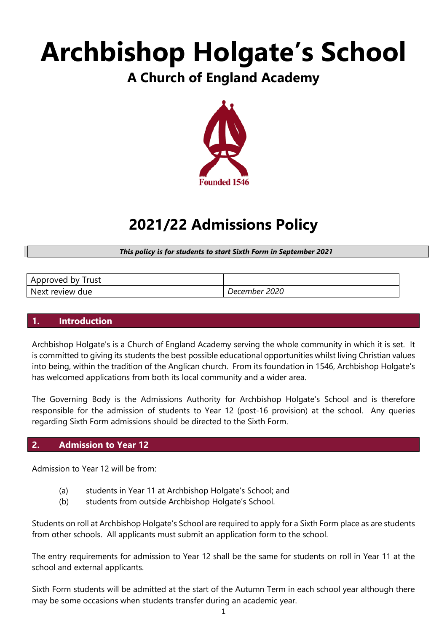# **Archbishop Holgate's School**

# **A Church of England Academy**



# **2021/22 Admissions Policy**

#### *This policy is for students to start Sixth Form in September 2021*

| Approved by<br>Trust |                  |
|----------------------|------------------|
| Next review due      | 2020<br>December |

# **1. Introduction**

Archbishop Holgate's is a Church of England Academy serving the whole community in which it is set. It is committed to giving its students the best possible educational opportunities whilst living Christian values into being, within the tradition of the Anglican church. From its foundation in 1546, Archbishop Holgate's has welcomed applications from both its local community and a wider area.

The Governing Body is the Admissions Authority for Archbishop Holgate's School and is therefore responsible for the admission of students to Year 12 (post-16 provision) at the school. Any queries regarding Sixth Form admissions should be directed to the Sixth Form.

# **2. Admission to Year 12**

Admission to Year 12 will be from:

- (a) students in Year 11 at Archbishop Holgate's School; and
- (b) students from outside Archbishop Holgate's School.

Students on roll at Archbishop Holgate's School are required to apply for a Sixth Form place as are students from other schools. All applicants must submit an application form to the school.

The entry requirements for admission to Year 12 shall be the same for students on roll in Year 11 at the school and external applicants.

Sixth Form students will be admitted at the start of the Autumn Term in each school year although there may be some occasions when students transfer during an academic year.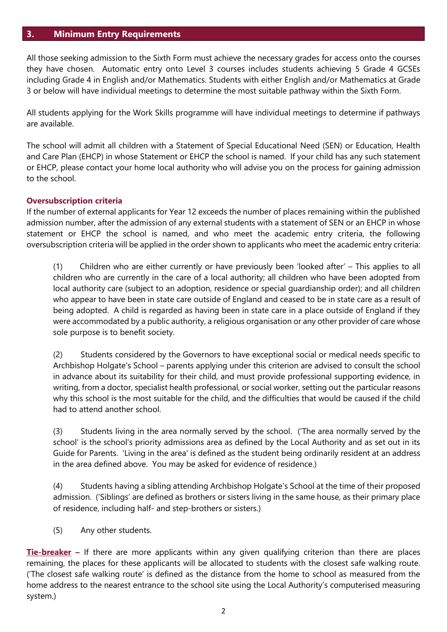### **3. Minimum Entry Requirements**

All those seeking admission to the Sixth Form must achieve the necessary grades for access onto the courses they have chosen. Automatic entry onto Level 3 courses includes students achieving 5 Grade 4 GCSEs including Grade 4 in English and/or Mathematics. Students with either English and/or Mathematics at Grade 3 or below will have individual meetings to determine the most suitable pathway within the Sixth Form.

All students applying for the Work Skills programme will have individual meetings to determine if pathways are available.

The school will admit all children with a Statement of Special Educational Need (SEN) or Education, Health and Care Plan (EHCP) in whose Statement or EHCP the school is named. If your child has any such statement or EHCP, please contact your home local authority who will advise you on the process for gaining admission to the school.

#### **Oversubscription criteria**

If the number of external applicants for Year 12 exceeds the number of places remaining within the published admission number, after the admission of any external students with a statement of SEN or an EHCP in whose statement or EHCP the school is named, and who meet the academic entry criteria, the following oversubscription criteria will be applied in the order shown to applicants who meet the academic entry criteria:

(1) Children who are either currently or have previously been 'looked after' – This applies to all children who are currently in the care of a local authority; all children who have been adopted from local authority care (subject to an adoption, residence or special guardianship order); and all children who appear to have been in state care outside of England and ceased to be in state care as a result of being adopted. A child is regarded as having been in state care in a place outside of England if they were accommodated by a public authority, a religious organisation or any other provider of care whose sole purpose is to benefit society.

(2) Students considered by the Governors to have exceptional social or medical needs specific to Archbishop Holgate's School – parents applying under this criterion are advised to consult the school in advance about its suitability for their child, and must provide professional supporting evidence, in writing, from a doctor, specialist health professional, or social worker, setting out the particular reasons why this school is the most suitable for the child, and the difficulties that would be caused if the child had to attend another school.

(3) Students living in the area normally served by the school. ('The area normally served by the school' is the school's priority admissions area as defined by the Local Authority and as set out in its Guide for Parents. 'Living in the area' is defined as the student being ordinarily resident at an address in the area defined above. You may be asked for evidence of residence.)

(4) Students having a sibling attending Archbishop Holgate's School at the time of their proposed admission. ('Siblings' are defined as brothers or sisters living in the same house, as their primary place of residence, including half- and step-brothers or sisters.)

(5) Any other students.

**Tie-breaker –** If there are more applicants within any given qualifying criterion than there are places remaining, the places for these applicants will be allocated to students with the closest safe walking route. ('The closest safe walking route' is defined as the distance from the home to school as measured from the home address to the nearest entrance to the school site using the Local Authority's computerised measuring system.)